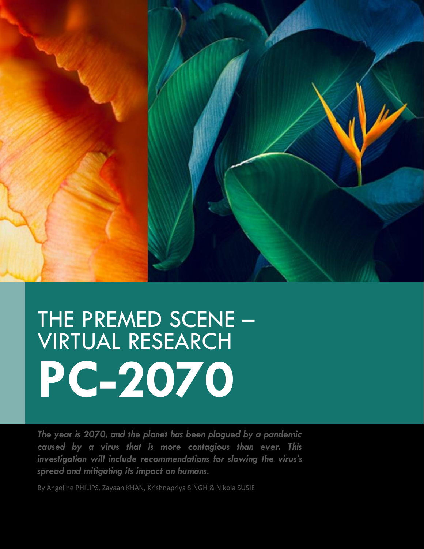

# THE PREMED SCENE – VIRTUAL RESEARCH **PC-2070**

*The year is 2070, and the planet has been plagued by a pandemic caused by a virus that is more contagious than ever. This investigation will include recommendations for slowing the virus's spread and mitigating its impact on humans.*

By Angeline PHILIPS, Zayaan KHAN, Krishnapriya SINGH & Nikola SUSIE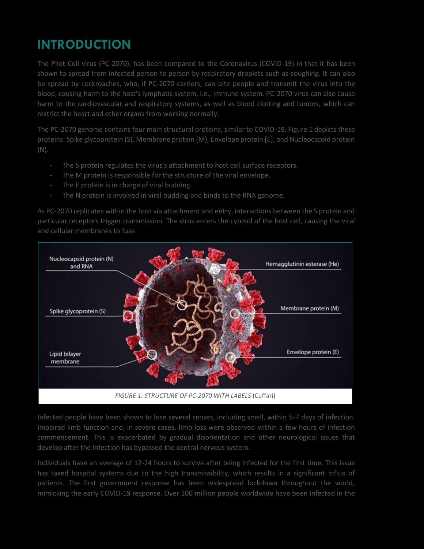# **INTRODUCTION**

The Pilot Coli virus (PC-2070), has been compared to the Coronavirus (COVID-19) in that it has been shown to spread from infected person to person by respiratory droplets such as coughing. It can also be spread by cockroaches, who, if PC-2070 carriers, can bite people and transmit the virus into the blood, causing harm to the host's lymphatic system, i.e., immune system. PC-2070 virus can also cause harm to the cardiovascular and respiratory systems, as well as blood clotting and tumors, which can restrict the heart and other organs from working normally.

The PC-2070 genome contains four main structural proteins, similar to COVID-19. Figure 1 depicts these proteins: Spike glycoprotein (S), Membrane protein (M), Envelope protein [E], and Nucleocapsid protein (N).

- The S protein regulates the virus's attachment to host cell surface receptors.
- The M protein is responsible for the structure of the viral envelope.
- The E protein is in charge of viral budding.
- The N protein is involved in viral budding and binds to the RNA genome.

As PC-2070 replicates within the host via attachment and entry, interactions between the S protein and particular receptors trigger transmission. The virus enters the cytosol of the host cell, causing the viral and cellular membranes to fuse.



Infected people have been shown to lose several senses, including smell, within 5-7 days of infection. Impaired limb function and, in severe cases, limb loss were observed within a few hours of infection commencement. This is exacerbated by gradual disorientation and other neurological issues that develop after the infection has bypassed the central nervous system.

Individuals have an average of 12-24 hours to survive after being infected for the first time. This issue has taxed hospital systems due to the high transmissibility, which results in a significant influx of patients. The first government response has been widespread lockdown throughout the world, mimicking the early COVID-19 response. Over 100 million people worldwide have been infected in the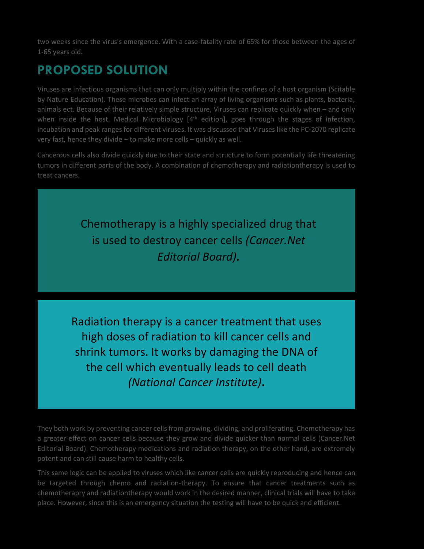two weeks since the virus's emergence. With a case-fatality rate of 65% for those between the ages of 1-65 years old.

### **PROPOSED SOLUTION**

Viruses are infectious organisms that can only multiply within the confines of a host organism (Scitable by Nature Education). These microbes can infect an array of living organisms such as plants, bacteria, animals ect. Because of their relatively simple structure, Viruses can replicate quickly when – and only when inside the host. Medical Microbiology  $[4<sup>th</sup>$  edition], goes through the stages of infection, incubation and peak ranges for different viruses. It was discussed that Viruses like the PC-2070 replicate very fast, hence they divide – to make more cells – quickly as well.

Cancerous cells also divide quickly due to their state and structure to form potentially life threatening tumors in different parts of the body. A combination of chemotherapy and radiationtherapy is used to treat cancers.

> Chemotherapy is a highly specialized drug that is used to destroy cancer cells *(Cancer.Net Editorial Board).*

Radiation therapy is a cancer treatment that uses high doses of radiation to kill cancer cells and shrink tumors. It works by damaging the DNA of the cell which eventually leads to cell death *(National Cancer Institute)***.**

They both work by preventing cancer cells from growing, dividing, and proliferating. Chemotherapy has a greater effect on cancer cells because they grow and divide quicker than normal cells (Cancer.Net Editorial Board). Chemotherapy medications and radiation therapy, on the other hand, are extremely potent and can still cause harm to healthy cells.

This same logic can be applied to viruses which like cancer cells are quickly reproducing and hence can be targeted through chemo and radiation-therapy. To ensure that cancer treatments such as chemotherapry and radiationtherapy would work in the desired manner, clinical trials will have to take place. However, since this is an emergency situation the testing will have to be quick and efficient.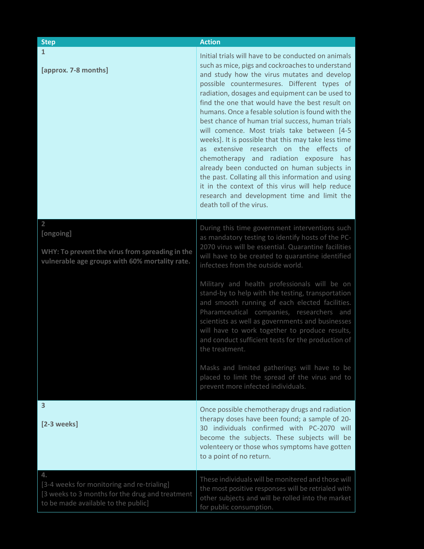| <b>Step</b>                                                                                                                                | <b>Action</b>                                                                                                                                                                                                                                                                                                                                                                                                                                                                                                                                                                                                                                                                                                                                                                                                                                        |
|--------------------------------------------------------------------------------------------------------------------------------------------|------------------------------------------------------------------------------------------------------------------------------------------------------------------------------------------------------------------------------------------------------------------------------------------------------------------------------------------------------------------------------------------------------------------------------------------------------------------------------------------------------------------------------------------------------------------------------------------------------------------------------------------------------------------------------------------------------------------------------------------------------------------------------------------------------------------------------------------------------|
| $\mathbf{1}$<br>[approx. 7-8 months]                                                                                                       | Initial trials will have to be conducted on animals<br>such as mice, pigs and cockroaches to understand<br>and study how the virus mutates and develop<br>possible countermesures. Different types of<br>radiation, dosages and equipment can be used to<br>find the one that would have the best result on<br>humans. Once a fesable solution is found with the<br>best chance of human trial success, human trials<br>will comence. Most trials take between [4-5<br>weeks]. It is possible that this may take less time<br>as extensive research on the effects of<br>chemotherapy and radiation exposure has<br>already been conducted on human subjects in<br>the past. Collating all this information and using<br>it in the context of this virus will help reduce<br>research and development time and limit the<br>death toll of the virus. |
| $\overline{2}$<br>[ongoing]<br>WHY: To prevent the virus from spreading in the<br>vulnerable age groups with 60% mortality rate.           | During this time government interventions such<br>as mandatory testing to identify hosts of the PC-<br>2070 virus will be essential. Quarantine facilities<br>will have to be created to quarantine identified<br>infectees from the outside world.                                                                                                                                                                                                                                                                                                                                                                                                                                                                                                                                                                                                  |
|                                                                                                                                            | Military and health professionals will be on<br>stand-by to help with the testing, transportation<br>and smooth running of each elected facilities.<br>Pharamceutical companies, researchers and<br>scientists as well as governments and businesses<br>will have to work together to produce results,<br>and conduct sufficient tests for the production of<br>the treatment.                                                                                                                                                                                                                                                                                                                                                                                                                                                                       |
|                                                                                                                                            | Masks and limited gatherings will have to be<br>placed to limit the spread of the virus and to<br>prevent more infected individuals.                                                                                                                                                                                                                                                                                                                                                                                                                                                                                                                                                                                                                                                                                                                 |
| 3<br>$[2-3$ weeks]                                                                                                                         | Once possible chemotherapy drugs and radiation<br>therapy doses have been found; a sample of 20-<br>30 individuals confirmed with PC-2070 will<br>become the subjects. These subjects will be<br>volenteery or those whos symptoms have gotten<br>to a point of no return.                                                                                                                                                                                                                                                                                                                                                                                                                                                                                                                                                                           |
| 4.<br>[3-4 weeks for monitoring and re-trialing]<br>[3 weeks to 3 months for the drug and treatment<br>to be made available to the public] | These individuals will be monitered and those will<br>the most positive responses will be retrialed with<br>other subjects and will be rolled into the market<br>for public consumption.                                                                                                                                                                                                                                                                                                                                                                                                                                                                                                                                                                                                                                                             |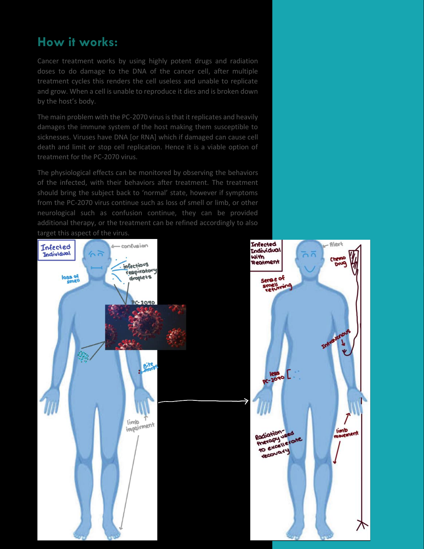### **How it works:**

Cancer treatment works by using highly potent drugs and radiation doses to do damage to the DNA of the cancer cell, after multiple treatment cycles this renders the cell useless and unable to replicate and grow. When a cell is unable to reproduce it dies and is broken down by the host's body.

The main problem with the PC-2070 virus is that it replicates and heavily damages the immune system of the host making them susceptible to sicknesses. Viruses have DNA [or RNA] which if damaged can cause cell death and limit or stop cell replication. Hence it is a viable option of treatment for the PC-2070 virus.

The physiological effects can be monitored by observing the behaviors of the infected, with their behaviors after treatment. The treatment should bring the subject back to 'normal' state, however if symptoms from the PC-2070 virus continue such as loss of smell or limb, or other neurological such as confusion continue, they can be provided additional therapy, or the treatment can be refined accordingly to also

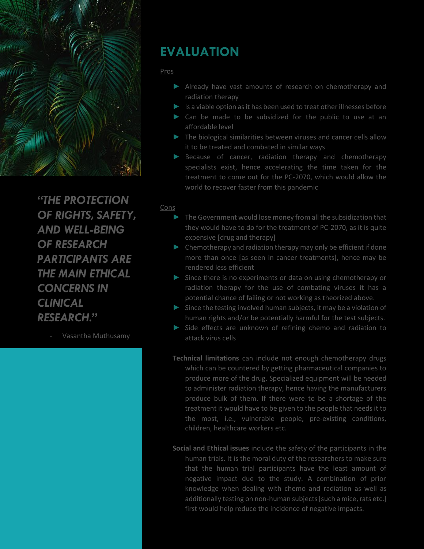

*"THE PROTECTION OF RIGHTS, SAFETY, AND WELL-BEING OF RESEARCH PARTICIPANTS ARE THE MAIN ETHICAL CONCERNS IN CLINICAL RESEARCH."*

- Vasantha Muthusamy

#### **EVALUATION**

#### Pros

- ► Already have vast amounts of research on chemotherapy and radiation therapy
- ► Is a viable option as it has been used to treat other illnesses before
- ► Can be made to be subsidized for the public to use at an affordable level
- ► The biological similarities between viruses and cancer cells allow it to be treated and combated in similar ways
- ► Because of cancer, radiation therapy and chemotherapy specialists exist, hence accelerating the time taken for the treatment to come out for the PC-2070, which would allow the world to recover faster from this pandemic

#### Cons

- ► The Government would lose money from all the subsidization that they would have to do for the treatment of PC-2070, as it is quite expensive [drug and therapy]
- ► Chemotherapy and radiation therapy may only be efficient if done more than once [as seen in cancer treatments], hence may be rendered less efficient
- ► Since there is no experiments or data on using chemotherapy or radiation therapy for the use of combating viruses it has a potential chance of failing or not working as theorized above.
- ► Since the testing involved human subjects, it may be a violation of human rights and/or be potentially harmful for the test subjects.
- ► Side effects are unknown of refining chemo and radiation to attack virus cells
- **Technical limitations** can include not enough chemotherapy drugs which can be countered by getting pharmaceutical companies to produce more of the drug. Specialized equipment will be needed to administer radiation therapy, hence having the manufacturers produce bulk of them. If there were to be a shortage of the treatment it would have to be given to the people that needs it to the most, i.e., vulnerable people, pre-existing conditions, children, healthcare workers etc.
- **Social and Ethical issues** include the safety of the participants in the human trials. It is the moral duty of the researchers to make sure that the human trial participants have the least amount of negative impact due to the study. A combination of prior knowledge when dealing with chemo and radiation as well as additionally testing on non-human subjects [such a mice, rats etc.] first would help reduce the incidence of negative impacts.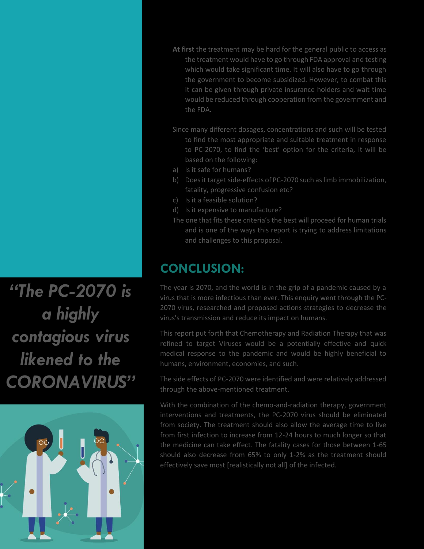**At first** the treatment may be hard for the general public to access as the treatment would have to go through FDA approval and testing which would take significant time. It will also have to go through the government to become subsidized. However, to combat this it can be given through private insurance holders and wait time would be reduced through cooperation from the government and the FDA.

- Since many different dosages, concentrations and such will be tested to find the most appropriate and suitable treatment in response to PC-2070, to find the 'best' option for the criteria, it will be based on the following:
- a) Is it safe for humans?
- b) Does it target side-effects of PC-2070 such as limb immobilization, fatality, progressive confusion etc?
- c) Is it a feasible solution?
- d) Is it expensive to manufacture?
- The one that fits these criteria's the best will proceed for human trials and is one of the ways this report is trying to address limitations and challenges to this proposal.

## **CONCLUSION:**

The year is 2070, and the world is in the grip of a pandemic caused by a virus that is more infectious than ever. This enquiry went through the PC-2070 virus, researched and proposed actions strategies to decrease the virus's transmission and reduce its impact on humans.

This report put forth that Chemotherapy and Radiation Therapy that was refined to target Viruses would be a potentially effective and quick medical response to the pandemic and would be highly beneficial to humans, environment, economies, and such.

The side effects of PC-2070 were identified and were relatively addressed through the above-mentioned treatment.

With the combination of the chemo-and-radiation therapy, government interventions and treatments, the PC-2070 virus should be eliminated from society. The treatment should also allow the average time to live from first infection to increase from 12-24 hours to much longer so that the medicine can take effect. The fatality cases for those between 1-65 should also decrease from 65% to only 1-2% as the treatment should effectively save most [realistically not all] of the infected.

*"The PC-2070 is a highly contagious virus likened to the CORONAVIRUS"*